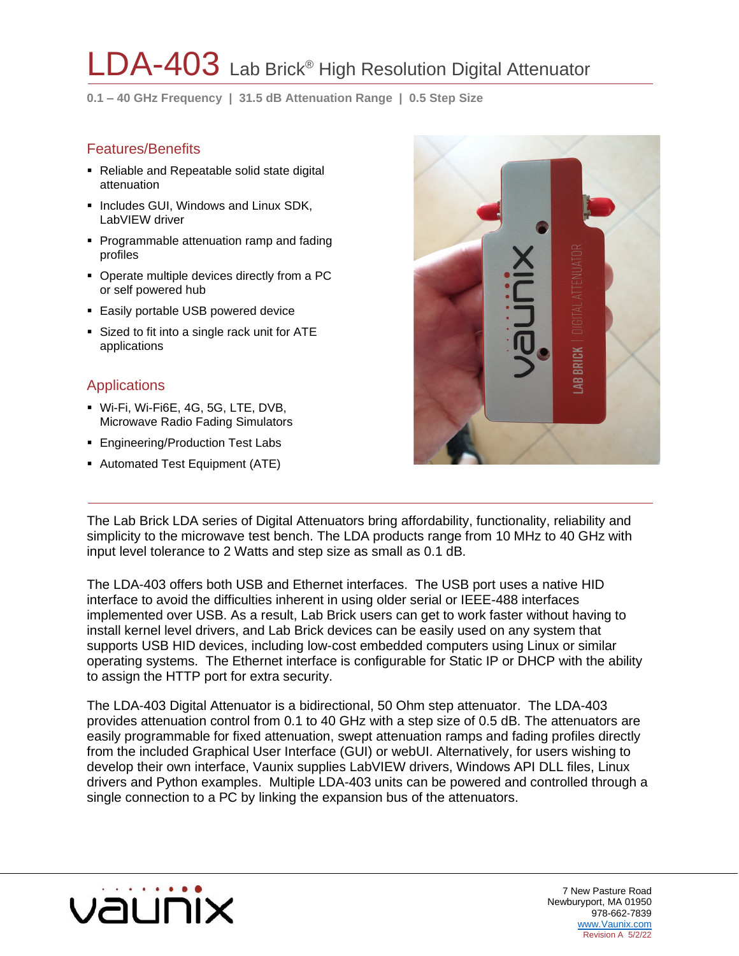# $\_DA$ - $403\,$  Lab Brick® High Resolution Digital Attenuator

**0.1 – 40 GHz Frequency | 31.5 dB Attenuation Range | 0.5 Step Size**

### Features/Benefits

- Reliable and Repeatable solid state digital attenuation
- **.** Includes GUI, Windows and Linux SDK, LabVIEW driver
- Programmable attenuation ramp and fading profiles
- Operate multiple devices directly from a PC or self powered hub
- **Easily portable USB powered device**
- **EXECUTE:** Sized to fit into a single rack unit for ATE applications

## **Applications**

- **Wi-Fi, Wi-Fi6E, 4G, 5G, LTE, DVB,** Microwave Radio Fading Simulators
- Engineering/Production Test Labs
- **B** Automated Test Equipment (ATE)



The Lab Brick LDA series of Digital Attenuators bring affordability, functionality, reliability and simplicity to the microwave test bench. The LDA products range from 10 MHz to 40 GHz with input level tolerance to 2 Watts and step size as small as 0.1 dB.

The LDA-403 offers both USB and Ethernet interfaces. The USB port uses a native HID interface to avoid the difficulties inherent in using older serial or IEEE-488 interfaces implemented over USB. As a result, Lab Brick users can get to work faster without having to install kernel level drivers, and Lab Brick devices can be easily used on any system that supports USB HID devices, including low-cost embedded computers using Linux or similar operating systems. The Ethernet interface is configurable for Static IP or DHCP with the ability to assign the HTTP port for extra security.

The LDA-403 Digital Attenuator is a bidirectional, 50 Ohm step attenuator. The LDA-403 provides attenuation control from 0.1 to 40 GHz with a step size of 0.5 dB. The attenuators are easily programmable for fixed attenuation, swept attenuation ramps and fading profiles directly from the included Graphical User Interface (GUI) or webUI. Alternatively, for users wishing to develop their own interface, Vaunix supplies LabVIEW drivers, Windows API DLL files, Linux drivers and Python examples. Multiple LDA-403 units can be powered and controlled through a single connection to a PC by linking the expansion bus of the attenuators.

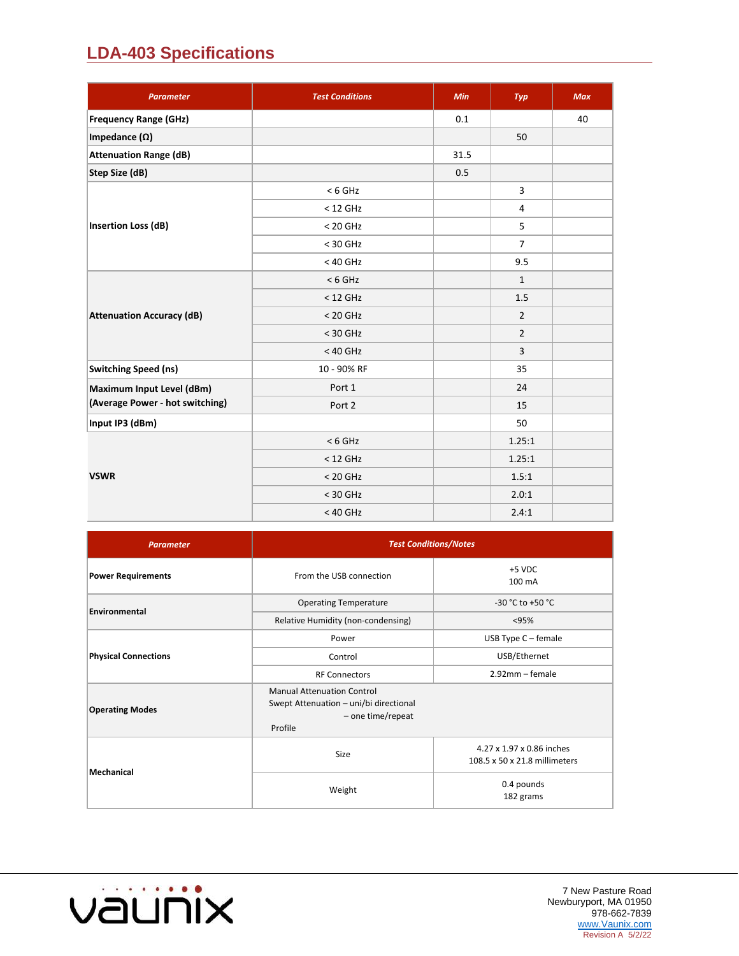## **LDA-403 Specifications**

| <b>Parameter</b>                 | <b>Test Conditions</b> | Min  | Typ            | <b>Max</b> |
|----------------------------------|------------------------|------|----------------|------------|
| <b>Frequency Range (GHz)</b>     |                        | 0.1  |                | 40         |
| Impedance $(\Omega)$             |                        |      | 50             |            |
| <b>Attenuation Range (dB)</b>    |                        | 31.5 |                |            |
| Step Size (dB)                   |                        | 0.5  |                |            |
|                                  | $< 6$ GHz              |      | 3              |            |
|                                  | $<$ 12 GHz             |      | 4              |            |
| <b>Insertion Loss (dB)</b>       | $< 20$ GHz             |      | 5              |            |
|                                  | $<$ 30 GHz             |      | $\overline{7}$ |            |
|                                  | $<$ 40 GHz             |      | 9.5            |            |
|                                  | $< 6$ GHz              |      | $\mathbf{1}$   |            |
|                                  | $<$ 12 GHz             |      | 1.5            |            |
| <b>Attenuation Accuracy (dB)</b> | $< 20$ GHz             |      | $\overline{2}$ |            |
|                                  | $<$ 30 GHz             |      | $\overline{2}$ |            |
|                                  | $<$ 40 GHz             |      | $\overline{3}$ |            |
| <b>Switching Speed (ns)</b>      | 10 - 90% RF            |      | 35             |            |
| Maximum Input Level (dBm)        | Port 1                 |      | 24             |            |
| (Average Power - hot switching)  | Port 2                 |      | 15             |            |
| Input IP3 (dBm)                  |                        |      | 50             |            |
|                                  | $< 6$ GHz              |      | 1.25:1         |            |
|                                  | $<$ 12 GHz             |      | 1.25:1         |            |
| <b>VSWR</b>                      | $< 20$ GHz             |      | 1.5:1          |            |
|                                  | $<$ 30 GHz             |      | 2.0:1          |            |
|                                  | $<$ 40 GHz             |      | 2.4:1          |            |

| <b>Parameter</b>            | <b>Test Conditions/Notes</b>                                                                                |                                                            |  |  |  |  |
|-----------------------------|-------------------------------------------------------------------------------------------------------------|------------------------------------------------------------|--|--|--|--|
| <b>Power Requirements</b>   | From the USB connection                                                                                     | +5 VDC<br>100 mA                                           |  |  |  |  |
| Environmental               | <b>Operating Temperature</b>                                                                                | -30 °C to +50 °C                                           |  |  |  |  |
|                             | Relative Humidity (non-condensing)                                                                          | < 95%                                                      |  |  |  |  |
|                             | Power                                                                                                       | USB Type $C$ – female                                      |  |  |  |  |
| <b>Physical Connections</b> | Control                                                                                                     | USB/Ethernet                                               |  |  |  |  |
|                             | <b>RF Connectors</b>                                                                                        | $2.92$ mm – female                                         |  |  |  |  |
| <b>Operating Modes</b>      | <b>Manual Attenuation Control</b><br>Swept Attenuation - uni/bi directional<br>- one time/repeat<br>Profile |                                                            |  |  |  |  |
|                             | Size                                                                                                        | 4.27 x 1.97 x 0.86 inches<br>108.5 x 50 x 21.8 millimeters |  |  |  |  |
| <b>Mechanical</b>           | Weight                                                                                                      | 0.4 pounds<br>182 grams                                    |  |  |  |  |

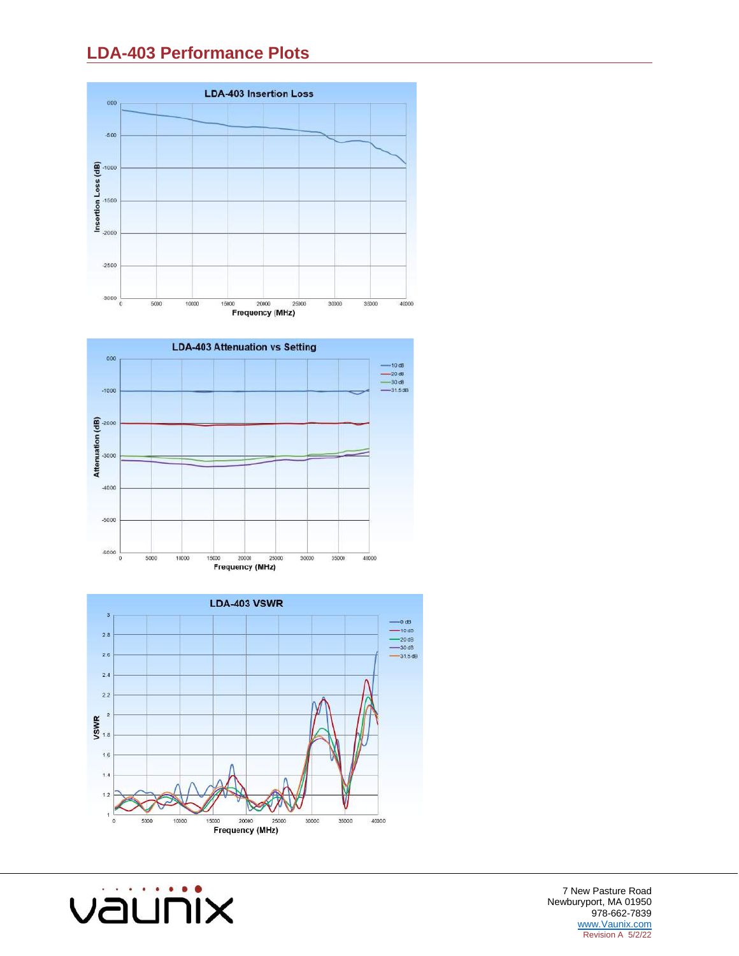## **LDA-403 Performance Plots**







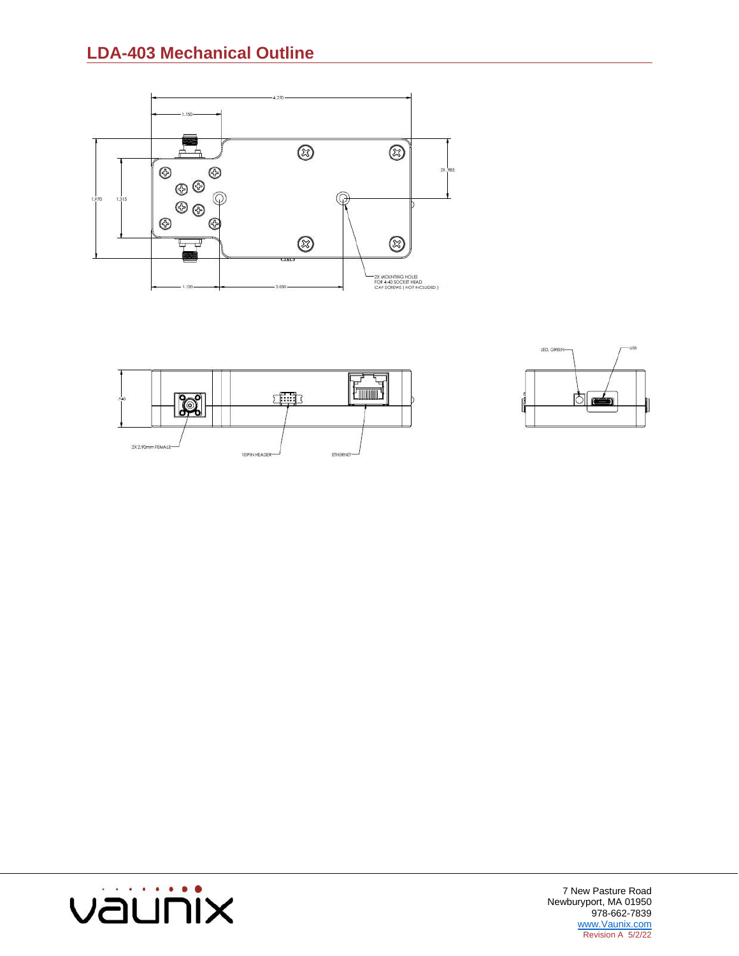